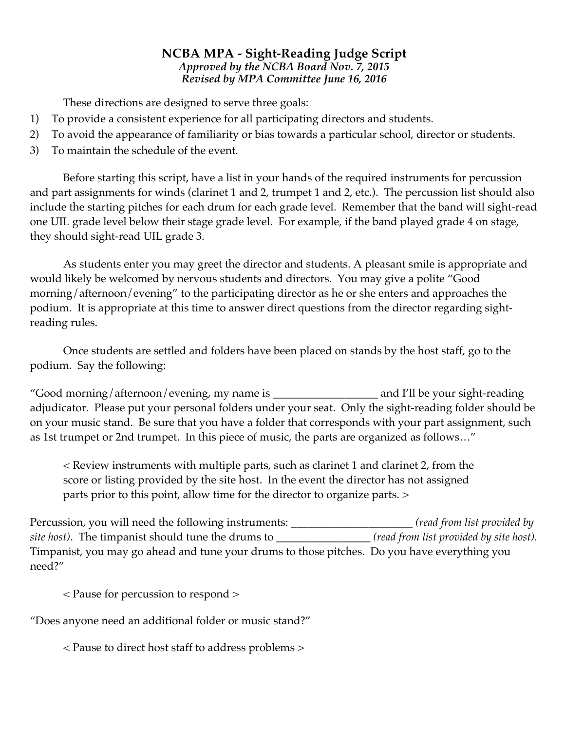## **NCBA MPA - Sight-Reading Judge Script** *Approved by the NCBA Board Nov. 7, 2015 Revised by MPA Committee June 16, 2016*

These directions are designed to serve three goals:

- 1) To provide a consistent experience for all participating directors and students.
- 2) To avoid the appearance of familiarity or bias towards a particular school, director or students.
- 3) To maintain the schedule of the event.

Before starting this script, have a list in your hands of the required instruments for percussion and part assignments for winds (clarinet 1 and 2, trumpet 1 and 2, etc.). The percussion list should also include the starting pitches for each drum for each grade level. Remember that the band will sight-read one UIL grade level below their stage grade level. For example, if the band played grade 4 on stage, they should sight-read UIL grade 3.

As students enter you may greet the director and students. A pleasant smile is appropriate and would likely be welcomed by nervous students and directors. You may give a polite "Good morning/afternoon/evening" to the participating director as he or she enters and approaches the podium. It is appropriate at this time to answer direct questions from the director regarding sightreading rules.

Once students are settled and folders have been placed on stands by the host staff, go to the podium. Say the following:

"Good morning/afternoon/evening, my name is \_\_\_\_\_\_\_\_\_\_\_\_\_\_\_\_\_\_\_ and I'll be your sight-reading adjudicator. Please put your personal folders under your seat. Only the sight-reading folder should be on your music stand. Be sure that you have a folder that corresponds with your part assignment, such as 1st trumpet or 2nd trumpet. In this piece of music, the parts are organized as follows…"

< Review instruments with multiple parts, such as clarinet 1 and clarinet 2, from the score or listing provided by the site host. In the event the director has not assigned parts prior to this point, allow time for the director to organize parts. >

Percussion, you will need the following instruments: \_\_\_\_\_\_\_\_\_\_\_\_\_\_\_\_\_\_\_\_\_\_ *(read from list provided by site host)*. The timpanist should tune the drums to \_\_\_\_\_\_\_\_\_\_\_\_\_\_\_\_\_ *(read from list provided by site host).*  Timpanist, you may go ahead and tune your drums to those pitches. Do you have everything you need?"

< Pause for percussion to respond >

"Does anyone need an additional folder or music stand?"

< Pause to direct host staff to address problems >